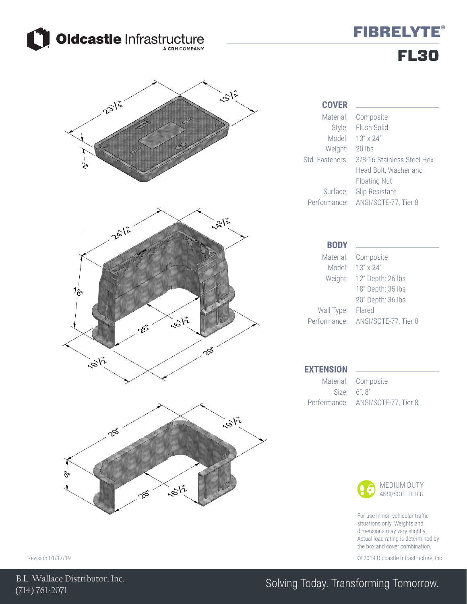

## **FIBRELYTE®** FL30



Head Bolt, Washer and



For use in non-vehicular traffic situations only. Weights and dimensions may vary slightly. Actual load rating is determined by the box and cover combination.

Revision 01/17/19 © 2019 Oldcastle Infrastructure, Inc.

### Solving Today. Transforming Tomorrow.